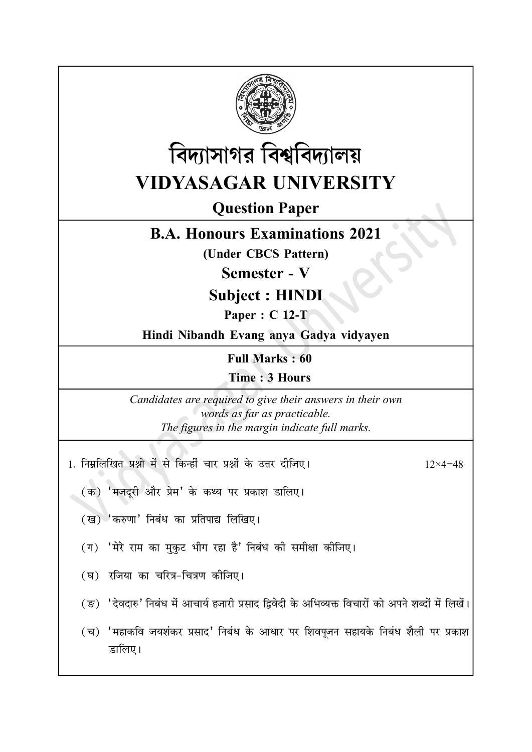



## **VIDYASAGAR UNIVERSITY**

## **Question Paper**

## **B.A. Honours Examinations 2021**

(Under CBCS Pattern)

**Semester - V** 

**Subject: HINDI** 

Paper: C 12-T

Hindi Nibandh Evang anya Gadya vidyayen

**Full Marks: 60** 

Time: 3 Hours

Candidates are required to give their answers in their own words as far as practicable. The figures in the margin indicate full marks.

1. निम्नलिखित प्रश्नो में से किन्हीं चार प्रश्नों के उत्तर दीजिए।

 $12\times 4=48$ 

- (क) 'मजदूरी और प्रेम' के कथ्य पर प्रकाश डालिए।
- (ख) 'करुणा' निबंध का प्रतिपाद्य लिखिए।
- (ग) 'मेरे राम का मुकुट भीग रहा है' निबंध की समीक्षा कीजिए।
- (घ) रजिया का चरित्र-चित्रण कोजिए।
- (ङ) 'देवदारु' निबंध में आचार्य हजारी प्रसाद द्विवेदी के अभिव्यक्त विचारों को अपने शब्दों में लिखें।
- (च) 'महाकवि जयशंकर प्रसाद' निबंध के आधार पर शिवपजन सहायके निबंध शैली पर प्रकाश डालिए।